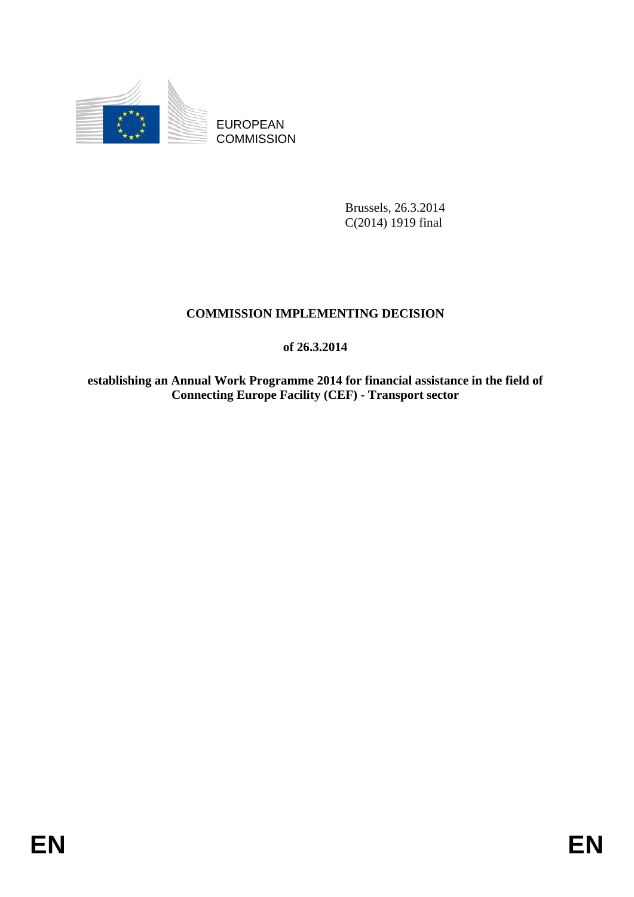

EUROPEAN **COMMISSION** 

> Brussels, 26.3.2014 C(2014) 1919 final

# **COMMISSION IMPLEMENTING DECISION**

**of 26.3.2014** 

**establishing an Annual Work Programme 2014 for financial assistance in the field of Connecting Europe Facility (CEF) - Transport sector**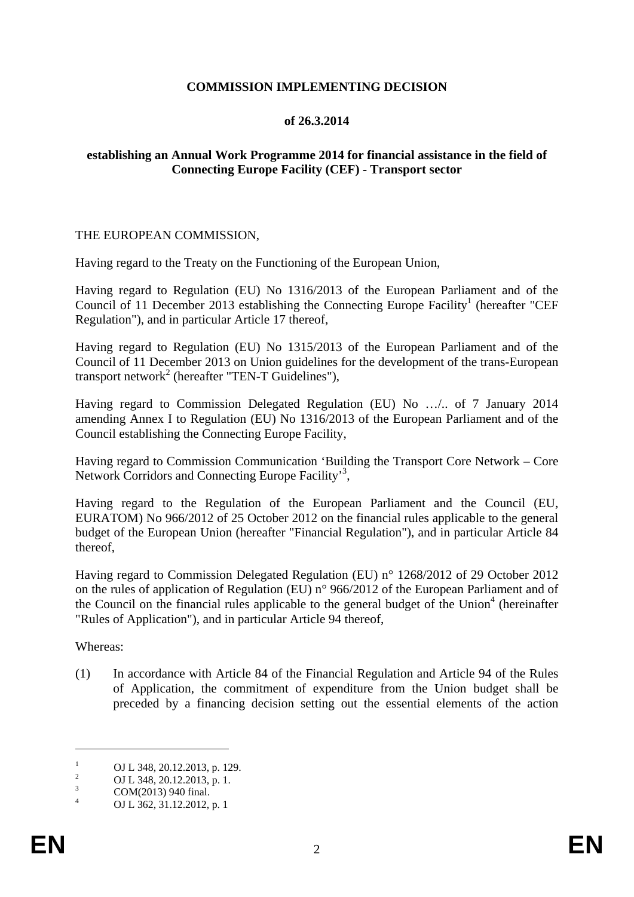## **COMMISSION IMPLEMENTING DECISION**

## **of 26.3.2014**

## **establishing an Annual Work Programme 2014 for financial assistance in the field of Connecting Europe Facility (CEF) - Transport sector**

#### THE EUROPEAN COMMISSION,

Having regard to the Treaty on the Functioning of the European Union,

Having regard to Regulation (EU) No 1316/2013 of the European Parliament and of the Council of 11 December 2013 establishing the Connecting Europe Facility<sup>1</sup> (hereafter "CEF Regulation"), and in particular Article 17 thereof,

Having regard to Regulation (EU) No 1315/2013 of the European Parliament and of the Council of 11 December 2013 on Union guidelines for the development of the trans-European transport network<sup>2</sup> (hereafter "TEN-T Guidelines"),

Having regard to Commission Delegated Regulation (EU) No …/.. of 7 January 2014 amending Annex I to Regulation (EU) No 1316/2013 of the European Parliament and of the Council establishing the Connecting Europe Facility,

Having regard to Commission Communication 'Building the Transport Core Network – Core Network Corridors and Connecting Europe Facility'<sup>3</sup>,

Having regard to the Regulation of the European Parliament and the Council (EU, EURATOM) No 966/2012 of 25 October 2012 on the financial rules applicable to the general budget of the European Union (hereafter "Financial Regulation"), and in particular Article 84 thereof,

Having regard to Commission Delegated Regulation (EU) n° 1268/2012 of 29 October 2012 on the rules of application of Regulation (EU) n° 966/2012 of the European Parliament and of the Council on the financial rules applicable to the general budget of the Union<sup>4</sup> (hereinafter "Rules of Application"), and in particular Article 94 thereof,

Whereas:

1

(1) In accordance with Article 84 of the Financial Regulation and Article 94 of the Rules of Application, the commitment of expenditure from the Union budget shall be preceded by a financing decision setting out the essential elements of the action

<sup>1</sup> OJ L 348, 20.12.2013, p. 129. 2

OJ L 348, 20.12.2013, p. 1. 3

COM(2013) 940 final.

<sup>4</sup> OJ L 362, 31.12.2012, p. 1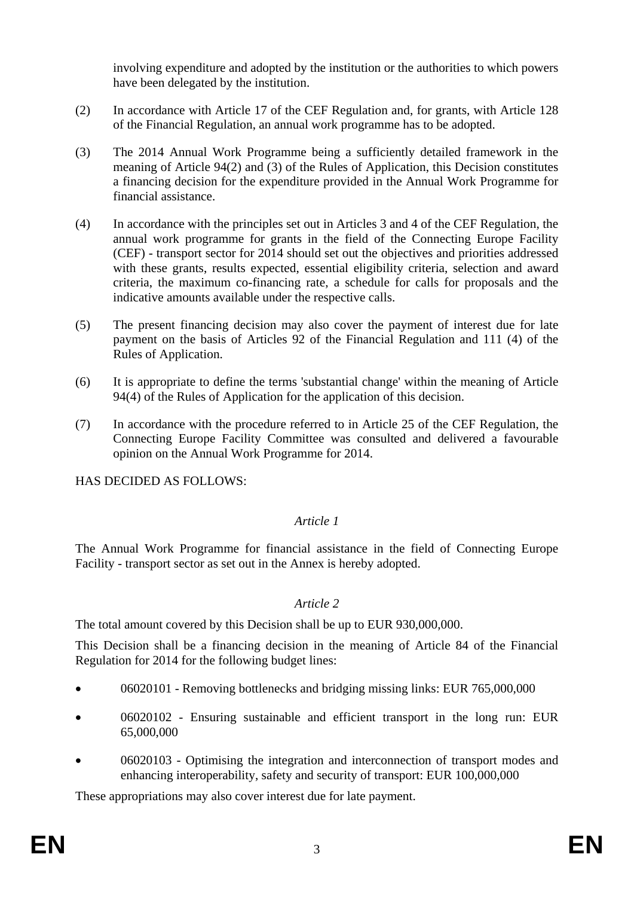involving expenditure and adopted by the institution or the authorities to which powers have been delegated by the institution.

- (2) In accordance with Article 17 of the CEF Regulation and, for grants, with Article 128 of the Financial Regulation, an annual work programme has to be adopted.
- (3) The 2014 Annual Work Programme being a sufficiently detailed framework in the meaning of Article 94(2) and (3) of the Rules of Application, this Decision constitutes a financing decision for the expenditure provided in the Annual Work Programme for financial assistance.
- (4) In accordance with the principles set out in Articles 3 and 4 of the CEF Regulation, the annual work programme for grants in the field of the Connecting Europe Facility (CEF) - transport sector for 2014 should set out the objectives and priorities addressed with these grants, results expected, essential eligibility criteria, selection and award criteria, the maximum co-financing rate, a schedule for calls for proposals and the indicative amounts available under the respective calls.
- (5) The present financing decision may also cover the payment of interest due for late payment on the basis of Articles 92 of the Financial Regulation and 111 (4) of the Rules of Application.
- (6) It is appropriate to define the terms 'substantial change' within the meaning of Article 94(4) of the Rules of Application for the application of this decision.
- (7) In accordance with the procedure referred to in Article 25 of the CEF Regulation, the Connecting Europe Facility Committee was consulted and delivered a favourable opinion on the Annual Work Programme for 2014.

HAS DECIDED AS FOLLOWS:

## *Article 1*

The Annual Work Programme for financial assistance in the field of Connecting Europe Facility - transport sector as set out in the Annex is hereby adopted.

## *Article 2*

The total amount covered by this Decision shall be up to EUR 930,000,000.

This Decision shall be a financing decision in the meaning of Article 84 of the Financial Regulation for 2014 for the following budget lines:

- 06020101 Removing bottlenecks and bridging missing links: EUR 765,000,000
- 06020102 Ensuring sustainable and efficient transport in the long run: EUR 65,000,000
- 06020103 Optimising the integration and interconnection of transport modes and enhancing interoperability, safety and security of transport: EUR 100,000,000

These appropriations may also cover interest due for late payment.